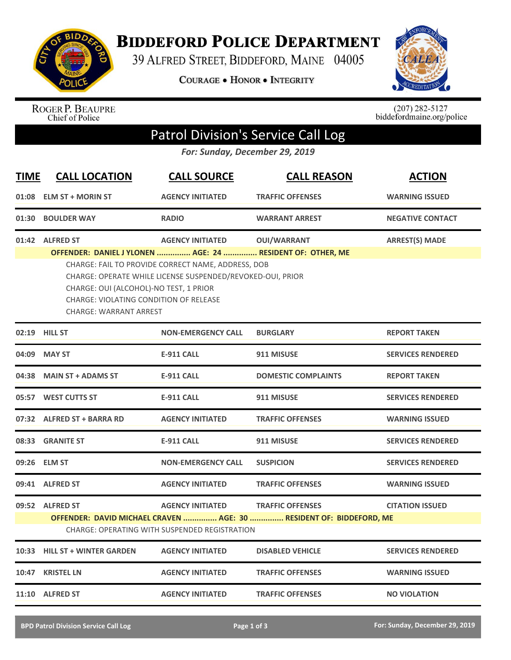

## **BIDDEFORD POLICE DEPARTMENT**

39 ALFRED STREET, BIDDEFORD, MAINE 04005

COURAGE . HONOR . INTEGRITY



ROGER P. BEAUPRE<br>Chief of Police

 $(207)$  282-5127<br>biddefordmaine.org/police

## Patrol Division's Service Call Log

*For: Sunday, December 29, 2019*

| <b>TIME</b> | <b>CALL LOCATION</b>                                                                                                                                                                                                                                                                                       | <b>CALL SOURCE</b>        | <b>CALL REASON</b>         | <b>ACTION</b>            |  |  |  |
|-------------|------------------------------------------------------------------------------------------------------------------------------------------------------------------------------------------------------------------------------------------------------------------------------------------------------------|---------------------------|----------------------------|--------------------------|--|--|--|
|             | 01:08 ELM ST + MORIN ST                                                                                                                                                                                                                                                                                    | <b>AGENCY INITIATED</b>   | <b>TRAFFIC OFFENSES</b>    | <b>WARNING ISSUED</b>    |  |  |  |
|             | 01:30 BOULDER WAY                                                                                                                                                                                                                                                                                          | <b>RADIO</b>              | <b>WARRANT ARREST</b>      | <b>NEGATIVE CONTACT</b>  |  |  |  |
|             | 01:42 ALFRED ST                                                                                                                                                                                                                                                                                            | <b>AGENCY INITIATED</b>   | <b>OUI/WARRANT</b>         | <b>ARREST(S) MADE</b>    |  |  |  |
|             | OFFENDER: DANIEL J YLONEN  AGE: 24  RESIDENT OF: OTHER, ME<br>CHARGE: FAIL TO PROVIDE CORRECT NAME, ADDRESS, DOB<br>CHARGE: OPERATE WHILE LICENSE SUSPENDED/REVOKED-OUI, PRIOR<br>CHARGE: OUI (ALCOHOL)-NO TEST, 1 PRIOR<br><b>CHARGE: VIOLATING CONDITION OF RELEASE</b><br><b>CHARGE: WARRANT ARREST</b> |                           |                            |                          |  |  |  |
|             | 02:19 HILL ST                                                                                                                                                                                                                                                                                              | <b>NON-EMERGENCY CALL</b> | <b>BURGLARY</b>            | <b>REPORT TAKEN</b>      |  |  |  |
|             | 04:09 MAY ST                                                                                                                                                                                                                                                                                               | E-911 CALL                | 911 MISUSE                 | <b>SERVICES RENDERED</b> |  |  |  |
|             | 04:38 MAIN ST + ADAMS ST                                                                                                                                                                                                                                                                                   | <b>E-911 CALL</b>         | <b>DOMESTIC COMPLAINTS</b> | <b>REPORT TAKEN</b>      |  |  |  |
|             | 05:57 WEST CUTTS ST                                                                                                                                                                                                                                                                                        | <b>E-911 CALL</b>         | 911 MISUSE                 | <b>SERVICES RENDERED</b> |  |  |  |
|             | 07:32 ALFRED ST + BARRA RD                                                                                                                                                                                                                                                                                 | <b>AGENCY INITIATED</b>   | <b>TRAFFIC OFFENSES</b>    | <b>WARNING ISSUED</b>    |  |  |  |
|             | 08:33 GRANITE ST                                                                                                                                                                                                                                                                                           | <b>E-911 CALL</b>         | 911 MISUSE                 | <b>SERVICES RENDERED</b> |  |  |  |
|             | 09:26 ELM ST                                                                                                                                                                                                                                                                                               | <b>NON-EMERGENCY CALL</b> | <b>SUSPICION</b>           | <b>SERVICES RENDERED</b> |  |  |  |
|             | 09:41 ALFRED ST                                                                                                                                                                                                                                                                                            | <b>AGENCY INITIATED</b>   | <b>TRAFFIC OFFENSES</b>    | <b>WARNING ISSUED</b>    |  |  |  |
|             | 09:52 ALFRED ST<br><b>AGENCY INITIATED</b><br><b>TRAFFIC OFFENSES</b><br><b>CITATION ISSUED</b><br>OFFENDER: DAVID MICHAEL CRAVEN  AGE: 30  RESIDENT OF: BIDDEFORD, ME<br><b>CHARGE: OPERATING WITH SUSPENDED REGISTRATION</b>                                                                             |                           |                            |                          |  |  |  |
|             | 10:33 HILL ST + WINTER GARDEN                                                                                                                                                                                                                                                                              | <b>AGENCY INITIATED</b>   | <b>DISABLED VEHICLE</b>    | <b>SERVICES RENDERED</b> |  |  |  |
| 10:47       | <b>KRISTEL LN</b>                                                                                                                                                                                                                                                                                          | <b>AGENCY INITIATED</b>   | <b>TRAFFIC OFFENSES</b>    | <b>WARNING ISSUED</b>    |  |  |  |
|             | 11:10 ALFRED ST                                                                                                                                                                                                                                                                                            | <b>AGENCY INITIATED</b>   | <b>TRAFFIC OFFENSES</b>    | <b>NO VIOLATION</b>      |  |  |  |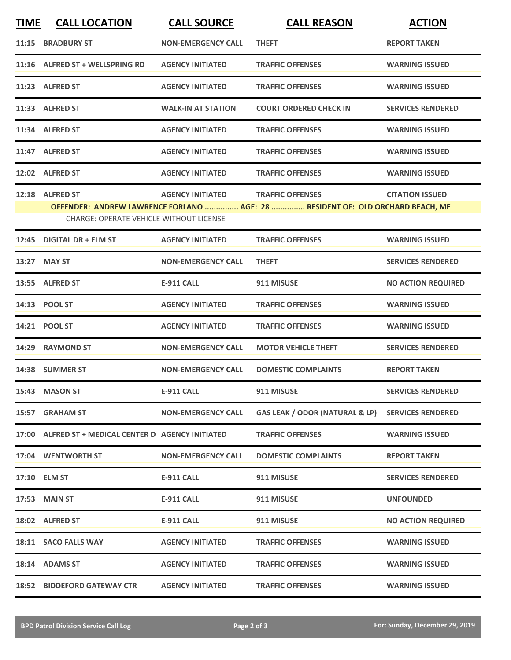| <b>TIME</b> | <b>CALL LOCATION</b>                                | <b>CALL SOURCE</b>        | <b>CALL REASON</b>                                                             | <b>ACTION</b>             |
|-------------|-----------------------------------------------------|---------------------------|--------------------------------------------------------------------------------|---------------------------|
|             | 11:15 BRADBURY ST                                   | <b>NON-EMERGENCY CALL</b> | <b>THEFT</b>                                                                   | <b>REPORT TAKEN</b>       |
|             | 11:16 ALFRED ST + WELLSPRING RD                     | <b>AGENCY INITIATED</b>   | <b>TRAFFIC OFFENSES</b>                                                        | <b>WARNING ISSUED</b>     |
|             | 11:23 ALFRED ST                                     | <b>AGENCY INITIATED</b>   | <b>TRAFFIC OFFENSES</b>                                                        | <b>WARNING ISSUED</b>     |
|             | 11:33 ALFRED ST                                     | <b>WALK-IN AT STATION</b> | <b>COURT ORDERED CHECK IN</b>                                                  | <b>SERVICES RENDERED</b>  |
|             | 11:34 ALFRED ST                                     | <b>AGENCY INITIATED</b>   | <b>TRAFFIC OFFENSES</b>                                                        | <b>WARNING ISSUED</b>     |
|             | 11:47 ALFRED ST                                     | <b>AGENCY INITIATED</b>   | <b>TRAFFIC OFFENSES</b>                                                        | <b>WARNING ISSUED</b>     |
|             | 12:02 ALFRED ST                                     | <b>AGENCY INITIATED</b>   | <b>TRAFFIC OFFENSES</b>                                                        | <b>WARNING ISSUED</b>     |
|             | 12:18 ALFRED ST                                     | <b>AGENCY INITIATED</b>   | <b>TRAFFIC OFFENSES</b>                                                        | <b>CITATION ISSUED</b>    |
|             |                                                     |                           | OFFENDER: ANDREW LAWRENCE FORLANO  AGE: 28  RESIDENT OF: OLD ORCHARD BEACH, ME |                           |
|             | <b>CHARGE: OPERATE VEHICLE WITHOUT LICENSE</b>      |                           |                                                                                |                           |
| 12:45       | <b>DIGITAL DR + ELM ST</b>                          | <b>AGENCY INITIATED</b>   | <b>TRAFFIC OFFENSES</b>                                                        | <b>WARNING ISSUED</b>     |
|             | 13:27 MAY ST                                        | <b>NON-EMERGENCY CALL</b> | <b>THEFT</b>                                                                   | <b>SERVICES RENDERED</b>  |
|             | 13:55 ALFRED ST                                     | <b>E-911 CALL</b>         | 911 MISUSE                                                                     | <b>NO ACTION REQUIRED</b> |
| 14:13       | <b>POOL ST</b>                                      | <b>AGENCY INITIATED</b>   | <b>TRAFFIC OFFENSES</b>                                                        | <b>WARNING ISSUED</b>     |
|             | 14:21 POOL ST                                       | <b>AGENCY INITIATED</b>   | <b>TRAFFIC OFFENSES</b>                                                        | <b>WARNING ISSUED</b>     |
|             | 14:29 RAYMOND ST                                    | <b>NON-EMERGENCY CALL</b> | <b>MOTOR VEHICLE THEFT</b>                                                     | <b>SERVICES RENDERED</b>  |
|             | 14:38 SUMMER ST                                     | <b>NON-EMERGENCY CALL</b> | <b>DOMESTIC COMPLAINTS</b>                                                     | <b>REPORT TAKEN</b>       |
|             | 15:43 MASON ST                                      | <b>E-911 CALL</b>         | 911 MISUSE                                                                     | <b>SERVICES RENDERED</b>  |
|             | 15:57 GRAHAM ST                                     | <b>NON-EMERGENCY CALL</b> | GAS LEAK / ODOR (NATURAL & LP) SERVICES RENDERED                               |                           |
|             | 17:00 ALFRED ST + MEDICAL CENTER D AGENCY INITIATED |                           | <b>TRAFFIC OFFENSES</b>                                                        | <b>WARNING ISSUED</b>     |
|             | 17:04 WENTWORTH ST                                  | <b>NON-EMERGENCY CALL</b> | <b>DOMESTIC COMPLAINTS</b>                                                     | <b>REPORT TAKEN</b>       |
|             | 17:10 ELM ST                                        | <b>E-911 CALL</b>         | 911 MISUSE                                                                     | <b>SERVICES RENDERED</b>  |
|             | 17:53 MAIN ST                                       | E-911 CALL                | 911 MISUSE                                                                     | <b>UNFOUNDED</b>          |
|             | 18:02 ALFRED ST                                     | E-911 CALL                | 911 MISUSE                                                                     | <b>NO ACTION REQUIRED</b> |
|             | 18:11 SACO FALLS WAY                                | <b>AGENCY INITIATED</b>   | <b>TRAFFIC OFFENSES</b>                                                        | <b>WARNING ISSUED</b>     |
|             | 18:14 ADAMS ST                                      | <b>AGENCY INITIATED</b>   | <b>TRAFFIC OFFENSES</b>                                                        | <b>WARNING ISSUED</b>     |
|             | <b>18:52 BIDDEFORD GATEWAY CTR</b>                  | <b>AGENCY INITIATED</b>   | <b>TRAFFIC OFFENSES</b>                                                        | <b>WARNING ISSUED</b>     |